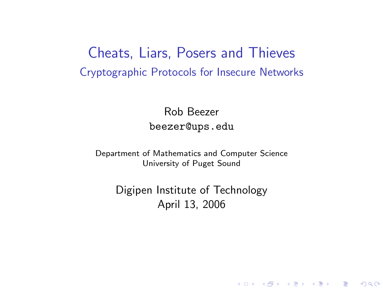Cheats, Liars, Posers and Thieves Cryptographic Protocols for Insecure Networks

> Rob Beezer beezer@ups.edu

Department of Mathematics and Computer Science University of Puget Sound

> <span id="page-0-0"></span>Digipen Institute of Technology April 13, 2006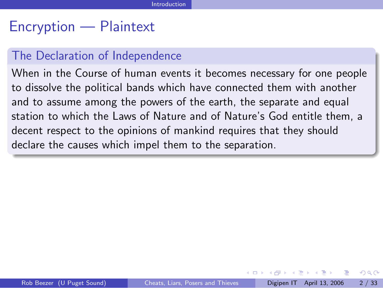### Encryption — Plaintext

### The Declaration of Independence

When in the Course of human events it becomes necessary for one people to dissolve the political bands which have connected them with another and to assume among the powers of the earth, the separate and equal station to which the Laws of Nature and of Nature's God entitle them, a decent respect to the opinions of mankind requires that they should declare the causes which impel them to the separation.

ヨメ メラメ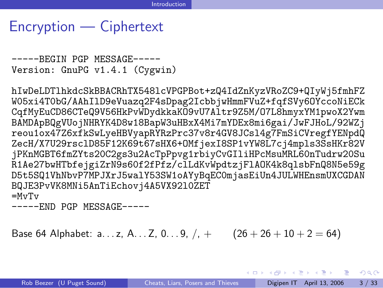### Encryption — Ciphertext

```
-----BEGIN PGP MESSAGE-----
Version: GnuPG v1.4.1 (Cygwin)
```
hIwDeLDTlhkdcSkBBACRhTX548lcVPGPBot+zQ4IdZnKyzVRoZC9+QIyWj5fmhFZ W05xi4T0bG/AAhIlD9eVuazq2F4sDpag2IcbbjwHmmFVuZ+fqfSVy6OYccoNiECk CqfMyEuCD86CTeQ9V56HkPvWDydkkaKO9vU7Altr9Z5M/O7L8hmyxYM1pwoX2Ywm BAMDApBQgVUojNHRYK4D8w18BapW3uHBxX4Mi7mYDEx8mi6gai/JwFJHoL/92WZj reou1ox47Z6xfkSwLyeHBVyapRYRzPrc37v8r4GV8JCsl4g7FmSiCVregfYENpdQ ZecH/X7U29rsclD85F12K69t67sHX6+OMfjexI8SP1vYW8L7cj4mpls3SsHKr82V jPKnMGBT6fmZYts20C2gs3u2AcTpPpvg1rbiyCvGIliHPcMsuMRL60nTudrw20Su R1Ae27bwHTbfejgiZrN9s60f2fPfz/clLdKvWpdtzjFlAOK4k8qlsbFnQ8N5e59g D5t5SQ1VhNbvP7MPJXrJ5walY53SW1oAYyBqEC0mjasEiUn4JULWHEnsmUXCGDAN BQJE3PvVK8MNi5AnTiEchovj4A5VX92l0ZET =MvTv

-----END PGP MESSAGE-----

Base 64 Alphabet: a...z, A...Z, 0...9, /, +  $(26 + 26 + 10 + 2 = 64)$ 

K ロ ▶ K 個 ▶ K 로 ▶ K 로 ▶ - 로 - K 9 Q @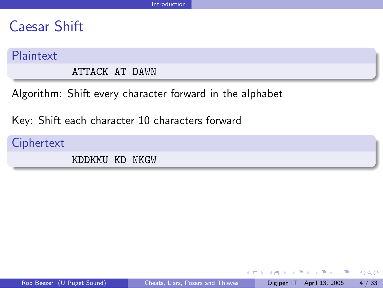### Caesar Shift

#### Plaintext

ATTACK AT DAWN

Algorithm: Shift every character forward in the alphabet

Key: Shift each character 10 characters forward

**Ciphertext** 

KDDKMU KD NKGW

 $\overline{a}$ 

4 D F

**KERKER E KAQO**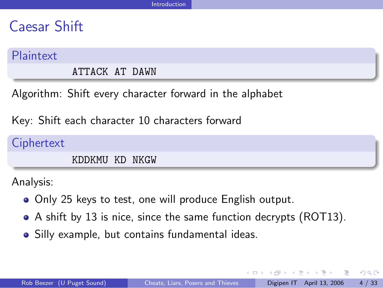### Caesar Shift

#### Plaintext

ATTACK AT DAWN

Algorithm: Shift every character forward in the alphabet

Key: Shift each character 10 characters forward

**Ciphertext** KDDKMU KD NKGW

Analysis:

- Only 25 keys to test, one will produce English output.
- A shift by 13 is nice, since the same function decrypts (ROT13).
- Silly example, but contains fundamental ideas.

医单位 医单位

- 30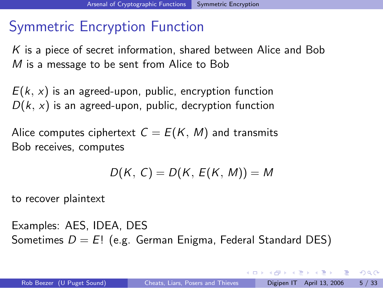# Symmetric Encryption Function

K is a piece of secret information, shared between Alice and Bob M is a message to be sent from Alice to Bob

 $E(k, x)$  is an agreed-upon, public, encryption function  $D(k, x)$  is an agreed-upon, public, decryption function

Alice computes ciphertext  $C = E(K, M)$  and transmits Bob receives, computes

$$
D(K, C) = D(K, E(K, M)) = M
$$

to recover plaintext

Examples: AES, IDEA, DES Sometimes  $D = E!$  (e.g. German Enigma, Federal Standard DES)

**A BAK A BAK BA**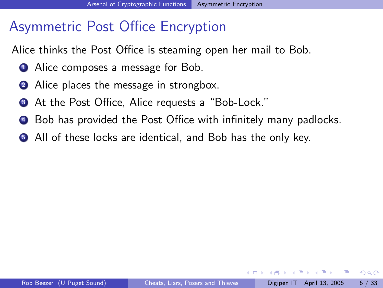# Asymmetric Post Office Encryption

Alice thinks the Post Office is steaming open her mail to Bob.

- **1** Alice composes a message for Bob.
- 2 Alice places the message in strongbox.
- At the Post Office, Alice requests a "Bob-Lock."
- <sup>4</sup> Bob has provided the Post Office with infinitely many padlocks.
- **All of these locks are identical, and Bob has the only key.**

正々 メラメ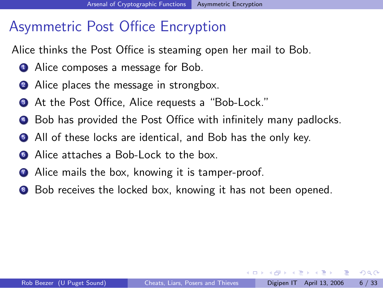# Asymmetric Post Office Encryption

Alice thinks the Post Office is steaming open her mail to Bob.

- **1** Alice composes a message for Bob.
- 2 Alice places the message in strongbox.
- **3** At the Post Office, Alice requests a "Bob-Lock."
- <sup>4</sup> Bob has provided the Post Office with infinitely many padlocks.
- **All of these locks are identical, and Bob has the only key.**
- <sup>6</sup> Alice attaches a Bob-Lock to the box.
- **1** Alice mails the box, knowing it is tamper-proof.
- 8 Bob receives the locked box, knowing it has not been opened.

化重新润滑脂

э.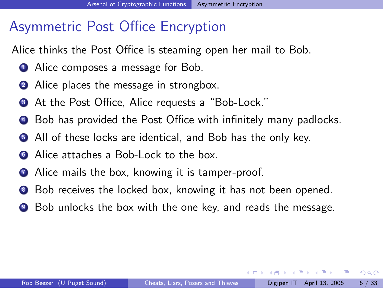# Asymmetric Post Office Encryption

Alice thinks the Post Office is steaming open her mail to Bob.

- **1** Alice composes a message for Bob.
- 2 Alice places the message in strongbox.
- **3** At the Post Office, Alice requests a "Bob-Lock."
- <sup>4</sup> Bob has provided the Post Office with infinitely many padlocks.
- **All of these locks are identical, and Bob has the only key.**
- <sup>6</sup> Alice attaches a Bob-Lock to the box.
- **1** Alice mails the box, knowing it is tamper-proof.
- 8 Bob receives the locked box, knowing it has not been opened.
- <sup>9</sup> Bob unlocks the box with the one key, and reads the message.

化重新润滑脂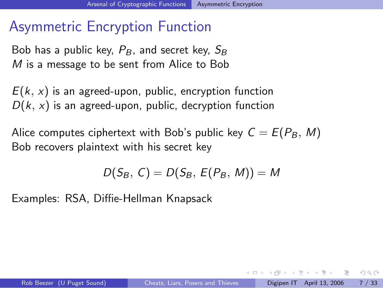### Asymmetric Encryption Function

Bob has a public key,  $P_B$ , and secret key,  $S_B$ M is a message to be sent from Alice to Bob

 $E(k, x)$  is an agreed-upon, public, encryption function  $D(k, x)$  is an agreed-upon, public, decryption function

Alice computes ciphertext with Bob's public key  $C = E(P_B, M)$ Bob recovers plaintext with his secret key

$$
D(S_B, C) = D(S_B, E(P_B, M)) = M
$$

Examples: RSA, Diffie-Hellman Knapsack

化重新 化重新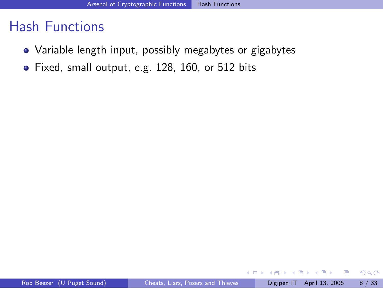### Hash Functions

- Variable length input, possibly megabytes or gigabytes
- Fixed, small output, e.g. 128, 160, or 512 bits

4 0 8

ラメ メラメ

画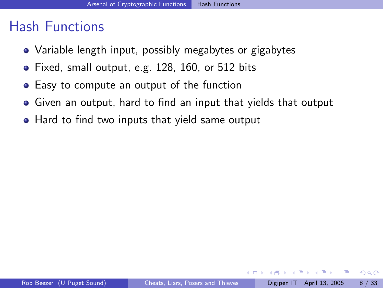### Hash Functions

- Variable length input, possibly megabytes or gigabytes
- Fixed, small output, e.g. 128, 160, or 512 bits
- **•** Easy to compute an output of the function
- Given an output, hard to find an input that yields that output
- Hard to find two inputs that yield same output

4 D F

正々 メラメ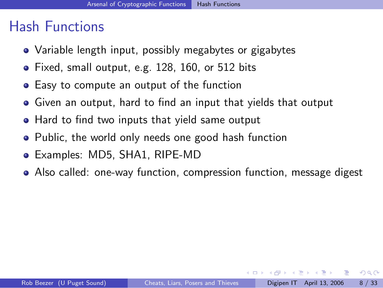### Hash Functions

- Variable length input, possibly megabytes or gigabytes
- Fixed, small output, e.g. 128, 160, or 512 bits
- **•** Easy to compute an output of the function
- Given an output, hard to find an input that yields that output
- Hard to find two inputs that yield same output
- Public, the world only needs one good hash function
- Examples: MD5, SHA1, RIPE-MD
- Also called: one-way function, compression function, message digest

化重新润滑脂

- 3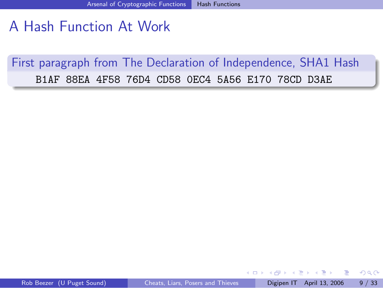# A Hash Function At Work

First paragraph from The Declaration of Independence, SHA1 Hash B1AF 88EA 4F58 76D4 CD58 0EC4 5A56 E170 78CD D3AE

4 D F

ヨメ メラメ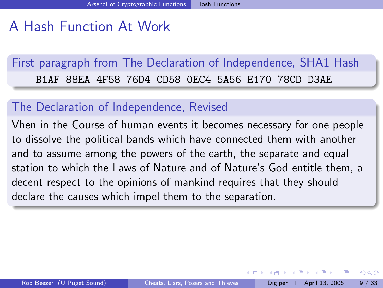# A Hash Function At Work

First paragraph from The Declaration of Independence, SHA1 Hash B1AF 88EA 4F58 76D4 CD58 0EC4 5A56 E170 78CD D3AE

### The Declaration of Independence, Revised

Vhen in the Course of human events it becomes necessary for one people to dissolve the political bands which have connected them with another and to assume among the powers of the earth, the separate and equal station to which the Laws of Nature and of Nature's God entitle them, a decent respect to the opinions of mankind requires that they should declare the causes which impel them to the separation.

化重新润滑脂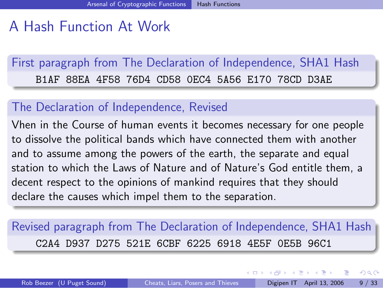# A Hash Function At Work

First paragraph from The Declaration of Independence, SHA1 Hash B1AF 88EA 4F58 76D4 CD58 0EC4 5A56 E170 78CD D3AE

### The Declaration of Independence, Revised

Vhen in the Course of human events it becomes necessary for one people to dissolve the political bands which have connected them with another and to assume among the powers of the earth, the separate and equal station to which the Laws of Nature and of Nature's God entitle them, a decent respect to the opinions of mankind requires that they should declare the causes which impel them to the separation.

Revised paragraph from The Declaration of Independence, SHA1 Hash C2A4 D937 D275 521E 6CBF 6225 6918 4E5F 0E5B 96C1

医毛囊 医牙骨下的

 $\overline{AB}$ 

4 D F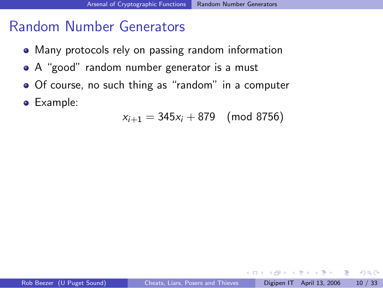### Random Number Generators

- Many protocols rely on passing random information
- A "good" random number generator is a must
- Of course, no such thing as "random" in a computer
- Example:

$$
x_{i+1} = 345x_i + 879 \pmod{8756}
$$

4 0 1

ヨメ メヨメ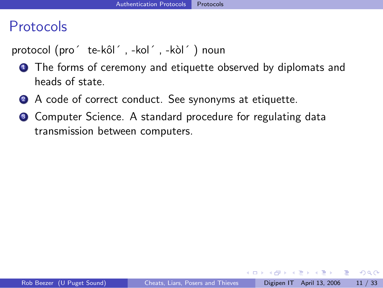### Protocols

protocol (pro´ te-kôl´, -kol´, -kòl´) noun

- **1** The forms of ceremony and etiquette observed by diplomats and heads of state.
- 2 A code of correct conduct. See synonyms at etiquette.
- Computer Science. A standard procedure for regulating data transmission between computers.

化重新润滑脂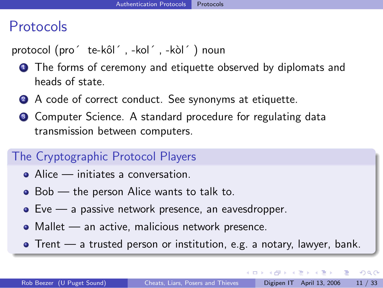# Protocols

protocol (pro´ te-kôl´, -kol´, -kòl´) noun

- **1** The forms of ceremony and etiquette observed by diplomats and heads of state.
- 2 A code of correct conduct. See synonyms at etiquette.
- **3** Computer Science. A standard procedure for regulating data transmission between computers.

### The Cryptographic Protocol Players

- Alice initiates a conversation.
- Bob the person Alice wants to talk to.
- Eve a passive network presence, an eavesdropper.
- Mallet an active, malicious network presence.
- $\bullet$  Trent a trusted person or institution, e.g. a notary, lawyer, bank.

 $QQ$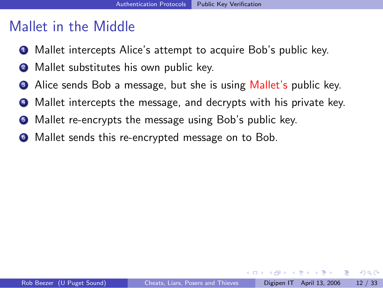# Mallet in the Middle

- **1** Mallet intercepts Alice's attempt to acquire Bob's public key.
- 2 Mallet substitutes his own public key.
- Alice sends Bob a message, but she is using Mallet's public key.
- Mallet intercepts the message, and decrypts with his private key.
- Mallet re-encrypts the message using Bob's public key.
- <sup>6</sup> Mallet sends this re-encrypted message on to Bob.

化重新润滑脂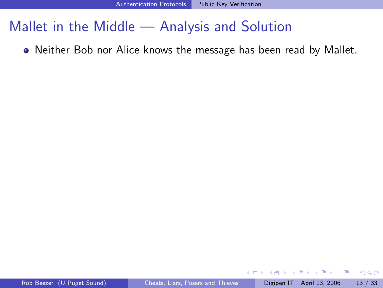Neither Bob nor Alice knows the message has been read by Mallet.

4 0 8

ヨメ メヨメ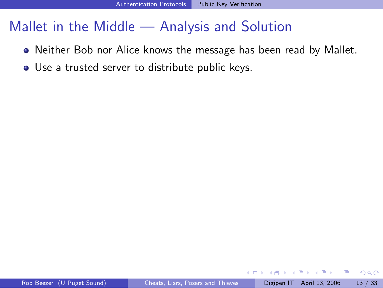- Neither Bob nor Alice knows the message has been read by Mallet.
- Use a trusted server to distribute public keys.

4 D F

正々 メラメ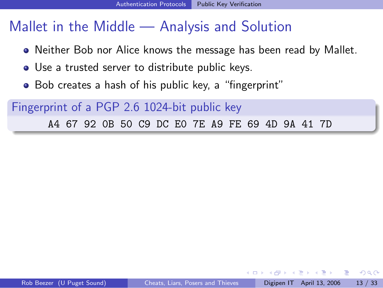- Neither Bob nor Alice knows the message has been read by Mallet.
- Use a trusted server to distribute public keys.
- Bob creates a hash of his public key, a "fingerprint"

Fingerprint of a PGP 2.6 1024-bit public key A4 67 92 0B 50 C9 DC E0 7E A9 FE 69 4D 9A 41 7D

化重新润滑脂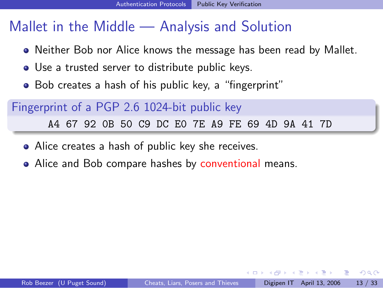- Neither Bob nor Alice knows the message has been read by Mallet.
- Use a trusted server to distribute public keys.
- Bob creates a hash of his public key, a "fingerprint"

Fingerprint of a PGP 2.6 1024-bit public key A4 67 92 0B 50 C9 DC E0 7E A9 FE 69 4D 9A 41 7D

- Alice creates a hash of public key she receives.
- Alice and Bob compare hashes by conventional means.

ヨメ イヨメ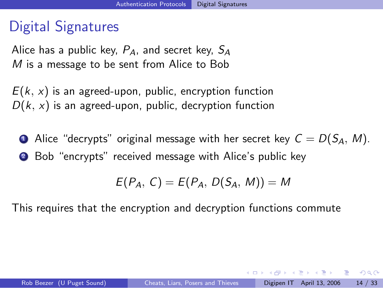# Digital Signatures

Alice has a public key,  $P_A$ , and secret key,  $S_A$ M is a message to be sent from Alice to Bob

 $E(k, x)$  is an agreed-upon, public, encryption function  $D(k, x)$  is an agreed-upon, public, decryption function

• Alice "decrypts" original message with her secret key  $C = D(S_A, M)$ . <sup>2</sup> Bob "encrypts" received message with Alice's public key

$$
E(P_A, C) = E(P_A, D(S_A, M)) = M
$$

This requires that the encryption and decryption functions commute

#D → x B → x B → B

 $\Omega$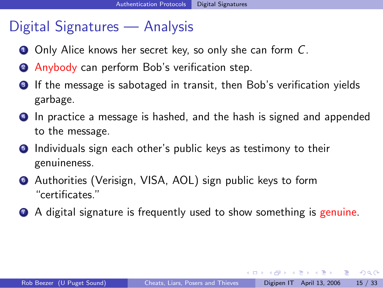# Digital Signatures — Analysis

- **1** Only Alice knows her secret key, so only she can form C.
- <sup>2</sup> Anybody can perform Bob's verification step.
- **3** If the message is sabotaged in transit, then Bob's verification yields garbage.
- **4** In practice a message is hashed, and the hash is signed and appended to the message.
- **5** Individuals sign each other's public keys as testimony to their genuineness.
- <sup>6</sup> Authorities (Verisign, VISA, AOL) sign public keys to form "certificates."
- **2** A digital signature is frequently used to show something is genuine.

4 0 8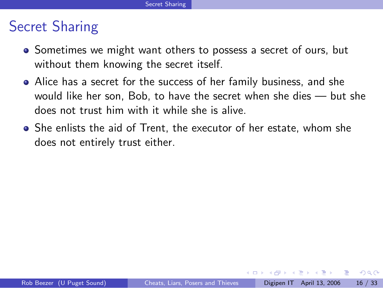# Secret Sharing

- Sometimes we might want others to possess a secret of ours, but without them knowing the secret itself.
- Alice has a secret for the success of her family business, and she would like her son, Bob, to have the secret when she dies — but she does not trust him with it while she is alive.
- She enlists the aid of Trent, the executor of her estate, whom she does not entirely trust either.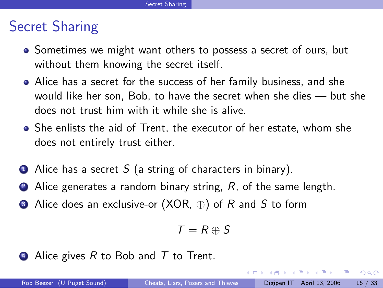# Secret Sharing

- Sometimes we might want others to possess a secret of ours, but without them knowing the secret itself.
- Alice has a secret for the success of her family business, and she would like her son, Bob, to have the secret when she dies — but she does not trust him with it while she is alive.
- She enlists the aid of Trent, the executor of her estate, whom she does not entirely trust either.
- $\bullet$  Alice has a secret S (a string of characters in binary).
- $\bullet$  Alice generates a random binary string, R, of the same length.
- **3** Alice does an exclusive-or  $(XOR, \oplus)$  of R and S to form

$$
T=R\oplus S
$$

 $\triangleleft$  Alice gives R to Bob and T to Trent.

化重氮 化重氮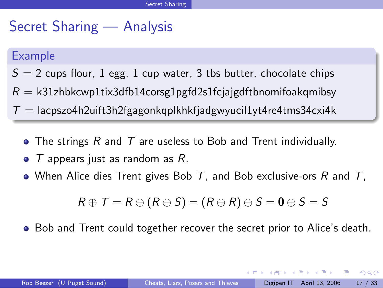# Secret Sharing — Analysis

### Example

- $S = 2$  cups flour, 1 egg, 1 cup water, 3 tbs butter, chocolate chips
- $R = k31$ zhbkcwp1tix3dfb14corsg1pgfd2s1fcjajgdftbnomifoakqmibsy
- $T =$ lacpszo4h2uift3h2fgagonkqplkhkfjadgwyucil1yt4re4tms34cxi4k
	- The strings  $R$  and  $T$  are useless to Bob and Trent individually.
	- $\bullet$  T appears just as random as R.
	- When Alice dies Trent gives Bob  $T$ , and Bob exclusive-ors  $R$  and  $T$ ,

$$
R \oplus T = R \oplus (R \oplus S) = (R \oplus R) \oplus S = \mathbf{0} \oplus S = S
$$

• Bob and Trent could together recover the secret prior to Alice's death.

4 D F

 $\mathcal{A} \oplus \mathcal{B} \rightarrow \mathcal{A} \oplus \mathcal{B} \rightarrow \mathcal{A} \oplus \mathcal{B} \rightarrow \mathcal{B}$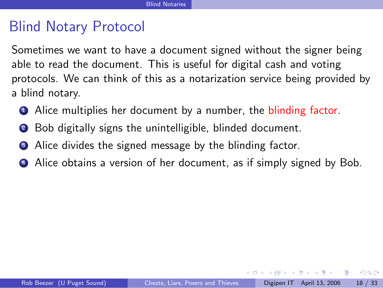# Blind Notary Protocol

Sometimes we want to have a document signed without the signer being able to read the document. This is useful for digital cash and voting protocols. We can think of this as a notarization service being provided by a blind notary.

- **4** Alice multiplies her document by a number, the blinding factor.
- <sup>2</sup> Bob digitally signs the unintelligible, blinded document.
- Alice divides the signed message by the blinding factor.
- <sup>4</sup> Alice obtains a version of her document, as if simply signed by Bob.

化重复 化重变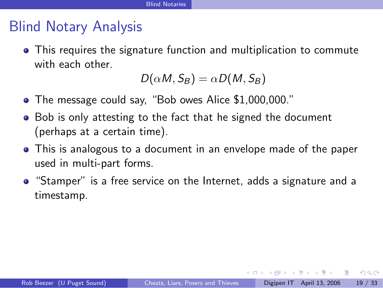# Blind Notary Analysis

This requires the signature function and multiplication to commute with each other.

$$
D(\alpha M, S_B) = \alpha D(M, S_B)
$$

- The message could say, "Bob owes Alice \$1,000,000."
- Bob is only attesting to the fact that he signed the document (perhaps at a certain time).
- This is analogous to a document in an envelope made of the paper used in multi-part forms.
- "Stamper" is a free service on the Internet, adds a signature and a timestamp.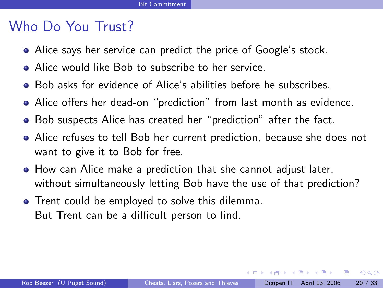# Who Do You Trust?

- Alice says her service can predict the price of Google's stock.
- Alice would like Bob to subscribe to her service.
- Bob asks for evidence of Alice's abilities before he subscribes.
- Alice offers her dead-on "prediction" from last month as evidence.
- Bob suspects Alice has created her "prediction" after the fact.
- Alice refuses to tell Bob her current prediction, because she does not want to give it to Bob for free.
- How can Alice make a prediction that she cannot adjust later, without simultaneously letting Bob have the use of that prediction?
- **•** Trent could be employed to solve this dilemma. But Trent can be a difficult person to find.

化重复 化重变

画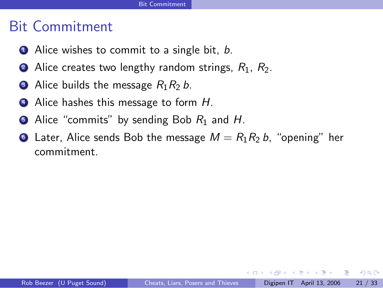# Bit Commitment

- $\bullet$  Alice wishes to commit to a single bit, b.
- **2** Alice creates two lengthy random strings,  $R_1$ ,  $R_2$ .
- Alice builds the message  $R_1R_2 b$ .
- 4 Alice hashes this message to form H.
- Alice "commits" by sending Bob  $R_1$  and H.
- Later, Alice sends Bob the message  $M = R_1 R_2 b$ , "opening" her commitment.

化重新润滑脂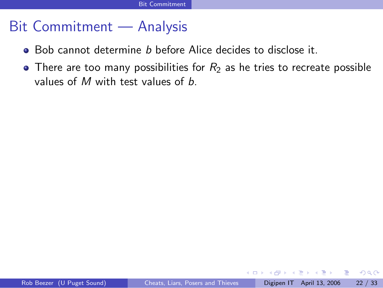### Bit Commitment — Analysis

- Bob cannot determine *b* before Alice decides to disclose it.
- There are too many possibilities for  $R_2$  as he tries to recreate possible values of  $M$  with test values of  $b$ .

4 D F

正々 メラメ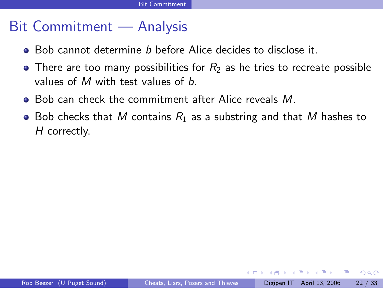## Bit Commitment — Analysis

- Bob cannot determine *b* before Alice decides to disclose it.
- There are too many possibilities for  $R_2$  as he tries to recreate possible values of  $M$  with test values of  $b$ .
- Bob can check the commitment after Alice reveals M.
- Bob checks that M contains  $R_1$  as a substring and that M hashes to H correctly.

化重复 化重变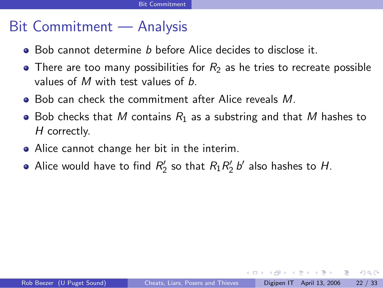# Bit Commitment — Analysis

- Bob cannot determine b before Alice decides to disclose it.
- There are too many possibilities for  $R_2$  as he tries to recreate possible values of  $M$  with test values of  $b$ .
- Bob can check the commitment after Alice reveals M.
- Bob checks that M contains  $R_1$  as a substring and that M hashes to H correctly.
- Alice cannot change her bit in the interim.
- Alice would have to find  $R'_2$  so that  $R_1R'_2$  b' also hashes to H.

化重复 化重变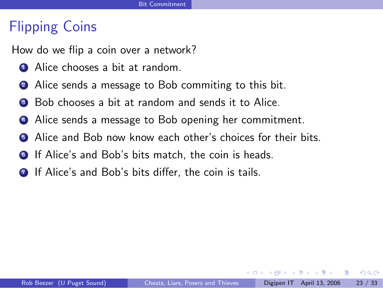# Flipping Coins

How do we flip a coin over a network?

- **1** Alice chooses a bit at random.
- 2 Alice sends a message to Bob commiting to this bit.
- Bob chooses a bit at random and sends it to Alice.
- <sup>4</sup> Alice sends a message to Bob opening her commitment.
- **6** Alice and Bob now know each other's choices for their bits.
- **6** If Alice's and Bob's bits match, the coin is heads.
- **1** If Alice's and Bob's bits differ, the coin is tails.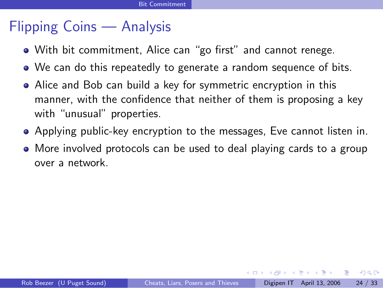# Flipping Coins — Analysis

- With bit commitment, Alice can "go first" and cannot renege.
- We can do this repeatedly to generate a random sequence of bits.
- Alice and Bob can build a key for symmetric encryption in this manner, with the confidence that neither of them is proposing a key with "unusual" properties.
- Applying public-key encryption to the messages, Eve cannot listen in.
- More involved protocols can be used to deal playing cards to a group over a network.

化重复 化重变

- 3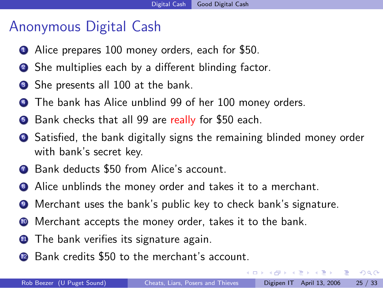# Anonymous Digital Cash

- **1** Alice prepares 100 money orders, each for \$50.
- <sup>2</sup> She multiplies each by a different blinding factor.
- She presents all 100 at the bank.
- The bank has Alice unblind 99 of her 100 money orders.
- **•** Bank checks that all 99 are really for \$50 each.
- <sup>6</sup> Satisfied, the bank digitally signs the remaining blinded money order with bank's secret key.
- **2** Bank deducts \$50 from Alice's account.
- **8** Alice unblinds the money order and takes it to a merchant.
- <sup>9</sup> Merchant uses the bank's public key to check bank's signature.
- <sup>10</sup> Merchant accepts the money order, takes it to the bank.
- **11** The bank verifies its signature again.
- <sup>2</sup> Bank credits \$50 to the merchant's account.

ラメ メラメ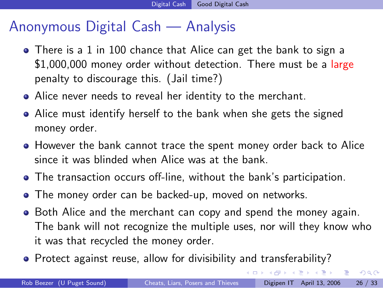## Anonymous Digital Cash — Analysis

- There is a 1 in 100 chance that Alice can get the bank to sign a \$1,000,000 money order without detection. There must be a large penalty to discourage this. (Jail time?)
- Alice never needs to reveal her identity to the merchant.
- Alice must identify herself to the bank when she gets the signed money order.
- However the bank cannot trace the spent money order back to Alice since it was blinded when Alice was at the bank.
- The transaction occurs off-line, without the bank's participation.
- The money order can be backed-up, moved on networks.
- Both Alice and the merchant can copy and spend the money again. The bank will not recognize the multiple uses, nor will they know who it was that recycled the money order.
- Protect against reuse, allow for divisibility and transferability?

 $\overline{AB}$ 

4 D F

→ 君 > → 君 >

 $\equiv$   $\Omega$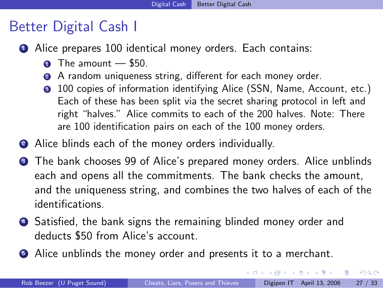# Better Digital Cash I

- Alice prepares 100 identical money orders. Each contains:
	- $\bullet$  The amount  $-$  \$50.
	- A random uniqueness string, different for each money order.
	- 100 copies of information identifying Alice (SSN, Name, Account, etc.) Each of these has been split via the secret sharing protocol in left and right "halves." Alice commits to each of the 200 halves. Note: There are 100 identification pairs on each of the 100 money orders.
- **2** Alice blinds each of the money orders individually.
- **3** The bank chooses 99 of Alice's prepared money orders. Alice unblinds each and opens all the commitments. The bank checks the amount, and the uniqueness string, and combines the two halves of each of the identifications.
- <sup>4</sup> Satisfied, the bank signs the remaining blinded money order and deducts \$50 from Alice's account.
- **•** Alice unblinds the money order and presents it to a merchant.

医毛囊 医牙骨下的

 $QQ$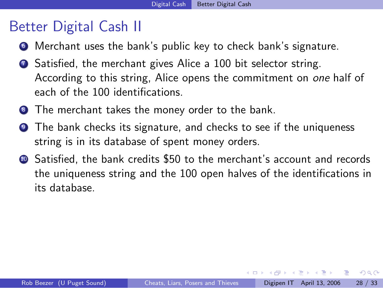# Better Digital Cash II

- <sup>6</sup> Merchant uses the bank's public key to check bank's signature.
- **2** Satisfied, the merchant gives Alice a 100 bit selector string. According to this string, Alice opens the commitment on one half of each of the 100 identifications.
- **8** The merchant takes the money order to the bank.
- **9** The bank checks its signature, and checks to see if the uniqueness string is in its database of spent money orders.
- <sup>10</sup> Satisfied, the bank credits \$50 to the merchant's account and records the uniqueness string and the 100 open halves of the identifications in its database.

化重复 化重变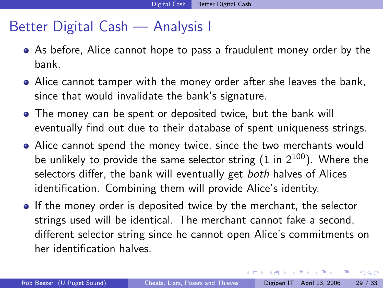## Better Digital Cash — Analysis I

- As before, Alice cannot hope to pass a fraudulent money order by the bank.
- Alice cannot tamper with the money order after she leaves the bank, since that would invalidate the bank's signature.
- The money can be spent or deposited twice, but the bank will eventually find out due to their database of spent uniqueness strings.
- Alice cannot spend the money twice, since the two merchants would be unlikely to provide the same selector string  $(1 \text{ in } 2^{100})$ . Where the selectors differ, the bank will eventually get both halves of Alices identification. Combining them will provide Alice's identity.
- **If the money order is deposited twice by the merchant, the selector** strings used will be identical. The merchant cannot fake a second, different selector string since he cannot open Alice's commitments on her identification halves.

4 0 8

画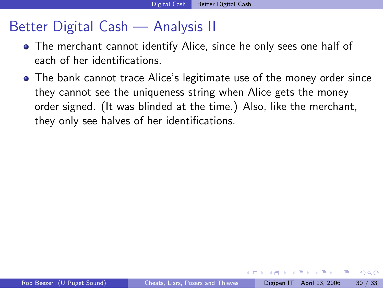# Better Digital Cash — Analysis II

- The merchant cannot identify Alice, since he only sees one half of each of her identifications.
- The bank cannot trace Alice's legitimate use of the money order since they cannot see the uniqueness string when Alice gets the money order signed. (It was blinded at the time.) Also, like the merchant, they only see halves of her identifications.

正々 メラメ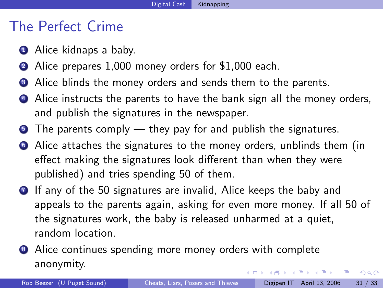### The Perfect Crime

- **1** Alice kidnaps a baby.
- Alice prepares 1,000 money orders for \$1,000 each.
- Alice blinds the money orders and sends them to the parents.
- **4** Alice instructs the parents to have the bank sign all the money orders, and publish the signatures in the newspaper.
- $\bullet$  The parents comply they pay for and publish the signatures.
- <sup>6</sup> Alice attaches the signatures to the money orders, unblinds them (in effect making the signatures look different than when they were published) and tries spending 50 of them.
- **1** If any of the 50 signatures are invalid, Alice keeps the baby and appeals to the parents again, asking for even more money. If all 50 of the signatures work, the baby is released unharmed at a quiet, random location.
- Alice continues spending more money orders with complete anonymity. 医毛囊 医牙骨下的

画

 $QQ$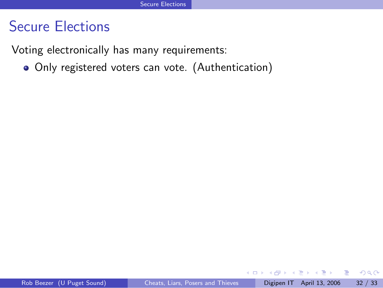Voting electronically has many requirements:

Only registered voters can vote. (Authentication)

4 0 8

一本 重 下

画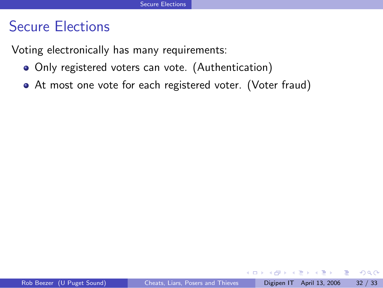Voting electronically has many requirements:

- Only registered voters can vote. (Authentication)
- At most one vote for each registered voter. (Voter fraud)

Ŧь

4 0 1

 $\rightarrow$   $\equiv$   $\rightarrow$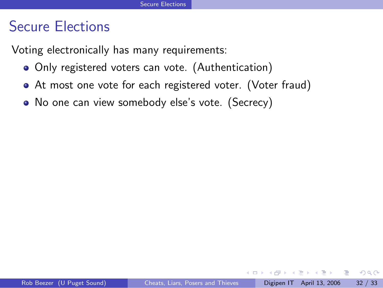Voting electronically has many requirements:

- Only registered voters can vote. (Authentication)
- At most one vote for each registered voter. (Voter fraud)
- No one can view somebody else's vote. (Secrecy)

 $\leftarrow$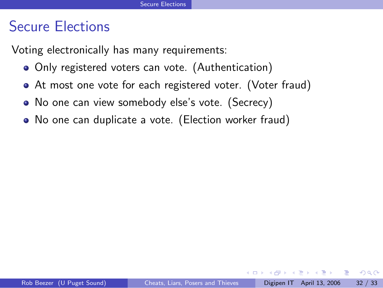Voting electronically has many requirements:

- Only registered voters can vote. (Authentication)
- At most one vote for each registered voter. (Voter fraud)
- No one can view somebody else's vote. (Secrecy)
- No one can duplicate a vote. (Election worker fraud)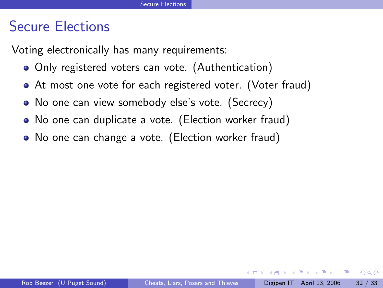Voting electronically has many requirements:

- Only registered voters can vote. (Authentication)
- At most one vote for each registered voter. (Voter fraud)
- No one can view somebody else's vote. (Secrecy)
- No one can duplicate a vote. (Election worker fraud)
- No one can change a vote. (Election worker fraud)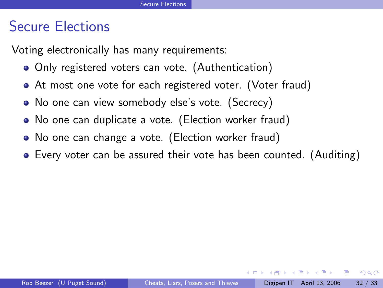Voting electronically has many requirements:

- Only registered voters can vote. (Authentication)
- At most one vote for each registered voter. (Voter fraud)
- No one can view somebody else's vote. (Secrecy)
- No one can duplicate a vote. (Election worker fraud)
- No one can change a vote. (Election worker fraud)
- Every voter can be assured their vote has been counted. (Auditing)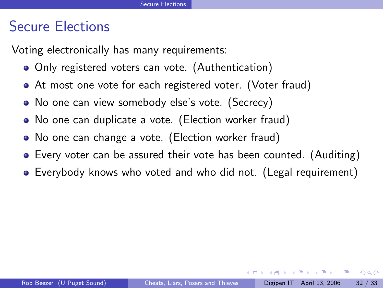Voting electronically has many requirements:

- Only registered voters can vote. (Authentication)
- At most one vote for each registered voter. (Voter fraud)
- No one can view somebody else's vote. (Secrecy)
- No one can duplicate a vote. (Election worker fraud)
- No one can change a vote. (Election worker fraud)
- Every voter can be assured their vote has been counted. (Auditing)
- Everybody knows who voted and who did not. (Legal requirement)

正々 メラメ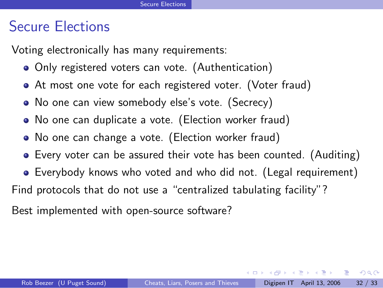Voting electronically has many requirements:

- Only registered voters can vote. (Authentication)
- At most one vote for each registered voter. (Voter fraud)
- No one can view somebody else's vote. (Secrecy)
- No one can duplicate a vote. (Election worker fraud)
- No one can change a vote. (Election worker fraud)
- Every voter can be assured their vote has been counted. (Auditing)
- Everybody knows who voted and who did not. (Legal requirement)
- Find protocols that do not use a "centralized tabulating facility"?

Best implemented with open-source software?

化重氮 化重氮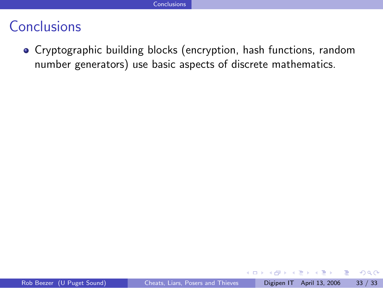Cryptographic building blocks (encryption, hash functions, random number generators) use basic aspects of discrete mathematics.

4 0 8

ミメスミメ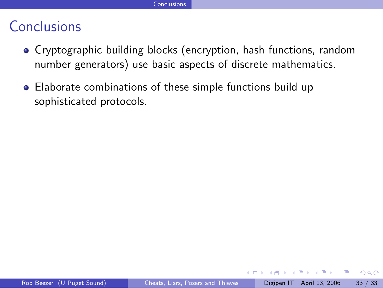- Cryptographic building blocks (encryption, hash functions, random number generators) use basic aspects of discrete mathematics.
- Elaborate combinations of these simple functions build up sophisticated protocols.

**∢ ⊡**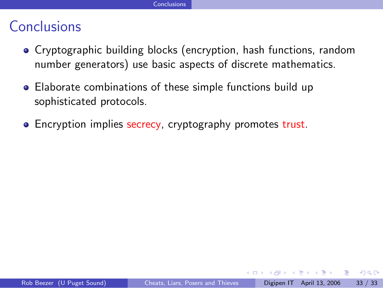- Cryptographic building blocks (encryption, hash functions, random number generators) use basic aspects of discrete mathematics.
- Elaborate combinations of these simple functions build up sophisticated protocols.
- Encryption implies secrecy, cryptography promotes trust.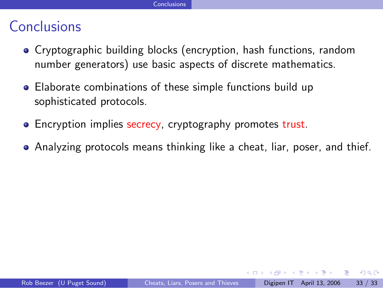- Cryptographic building blocks (encryption, hash functions, random number generators) use basic aspects of discrete mathematics.
- Elaborate combinations of these simple functions build up sophisticated protocols.
- Encryption implies secrecy, cryptography promotes trust.
- Analyzing protocols means thinking like a cheat, liar, poser, and thief.